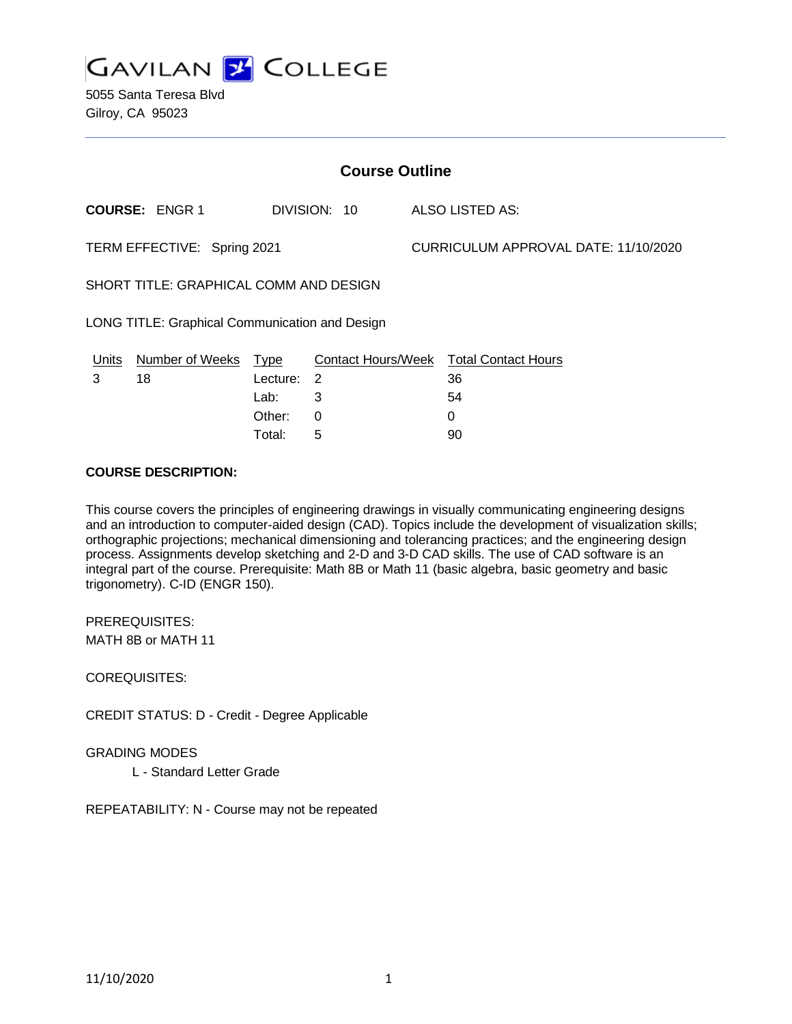

5055 Santa Teresa Blvd Gilroy, CA 95023

| <b>Course Outline</b>                          |                       |            |              |                                      |                                        |
|------------------------------------------------|-----------------------|------------|--------------|--------------------------------------|----------------------------------------|
|                                                | <b>COURSE: ENGR 1</b> |            | DIVISION: 10 |                                      | ALSO LISTED AS:                        |
| TERM EFFECTIVE: Spring 2021                    |                       |            |              | CURRICULUM APPROVAL DATE: 11/10/2020 |                                        |
| SHORT TITLE: GRAPHICAL COMM AND DESIGN         |                       |            |              |                                      |                                        |
| LONG TITLE: Graphical Communication and Design |                       |            |              |                                      |                                        |
| <u>Units</u>                                   | Number of Weeks Type  |            |              |                                      | Contact Hours/Week Total Contact Hours |
| 3                                              | 18                    | Lecture: 2 |              |                                      | 36                                     |
|                                                |                       | Lab:       | 3            |                                      | 54                                     |
|                                                |                       | Other:     | 0            |                                      | 0                                      |
|                                                |                       | Total:     | 5            |                                      | 90                                     |

#### **COURSE DESCRIPTION:**

This course covers the principles of engineering drawings in visually communicating engineering designs and an introduction to computer-aided design (CAD). Topics include the development of visualization skills; orthographic projections; mechanical dimensioning and tolerancing practices; and the engineering design process. Assignments develop sketching and 2-D and 3-D CAD skills. The use of CAD software is an integral part of the course. Prerequisite: Math 8B or Math 11 (basic algebra, basic geometry and basic trigonometry). C-ID (ENGR 150).

PREREQUISITES: MATH 8B or MATH 11

COREQUISITES:

CREDIT STATUS: D - Credit - Degree Applicable

GRADING MODES

L - Standard Letter Grade

REPEATABILITY: N - Course may not be repeated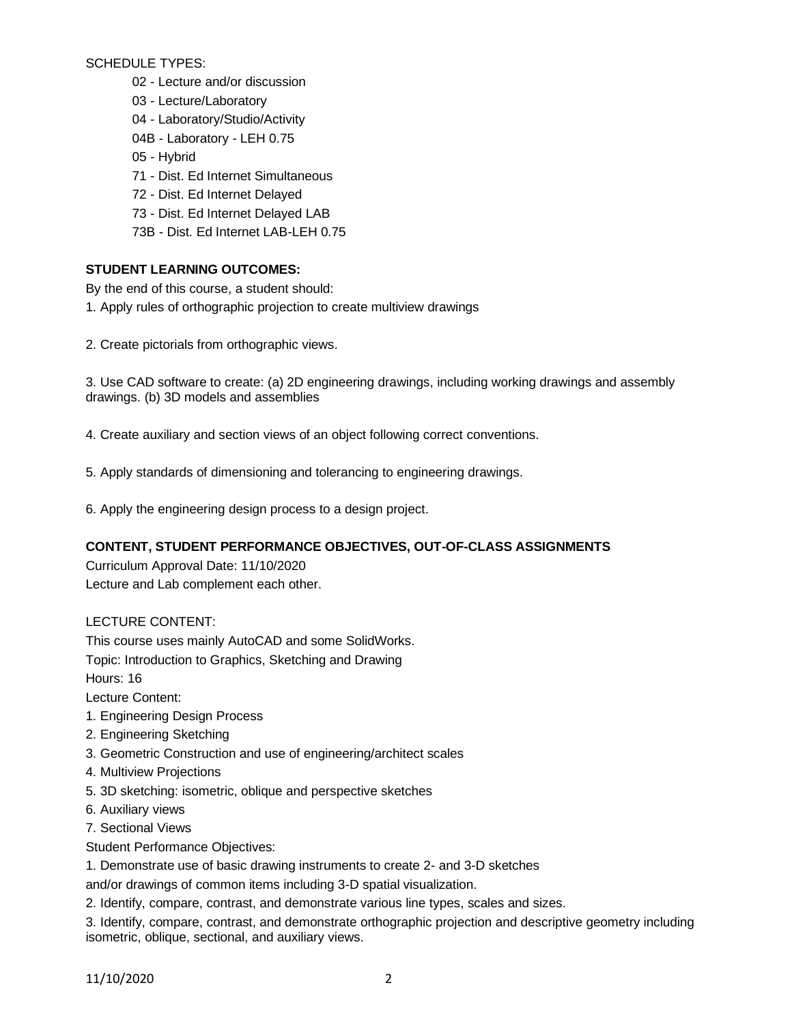SCHEDULE TYPES:

- 02 Lecture and/or discussion
- 03 Lecture/Laboratory
- 04 Laboratory/Studio/Activity
- 04B Laboratory LEH 0.75
- 05 Hybrid
- 71 Dist. Ed Internet Simultaneous
- 72 Dist. Ed Internet Delayed
- 73 Dist. Ed Internet Delayed LAB
- 73B Dist. Ed Internet LAB-LEH 0.75

## **STUDENT LEARNING OUTCOMES:**

By the end of this course, a student should:

- 1. Apply rules of orthographic projection to create multiview drawings
- 2. Create pictorials from orthographic views.

3. Use CAD software to create: (a) 2D engineering drawings, including working drawings and assembly drawings. (b) 3D models and assemblies

4. Create auxiliary and section views of an object following correct conventions.

- 5. Apply standards of dimensioning and tolerancing to engineering drawings.
- 6. Apply the engineering design process to a design project.

## **CONTENT, STUDENT PERFORMANCE OBJECTIVES, OUT-OF-CLASS ASSIGNMENTS**

Curriculum Approval Date: 11/10/2020 Lecture and Lab complement each other.

LECTURE CONTENT:

This course uses mainly AutoCAD and some SolidWorks.

Topic: Introduction to Graphics, Sketching and Drawing

Hours: 16

Lecture Content:

- 1. Engineering Design Process
- 2. Engineering Sketching
- 3. Geometric Construction and use of engineering/architect scales
- 4. Multiview Projections
- 5. 3D sketching: isometric, oblique and perspective sketches
- 6. Auxiliary views
- 7. Sectional Views
- Student Performance Objectives:
- 1. Demonstrate use of basic drawing instruments to create 2- and 3-D sketches

and/or drawings of common items including 3-D spatial visualization.

2. Identify, compare, contrast, and demonstrate various line types, scales and sizes.

3. Identify, compare, contrast, and demonstrate orthographic projection and descriptive geometry including isometric, oblique, sectional, and auxiliary views.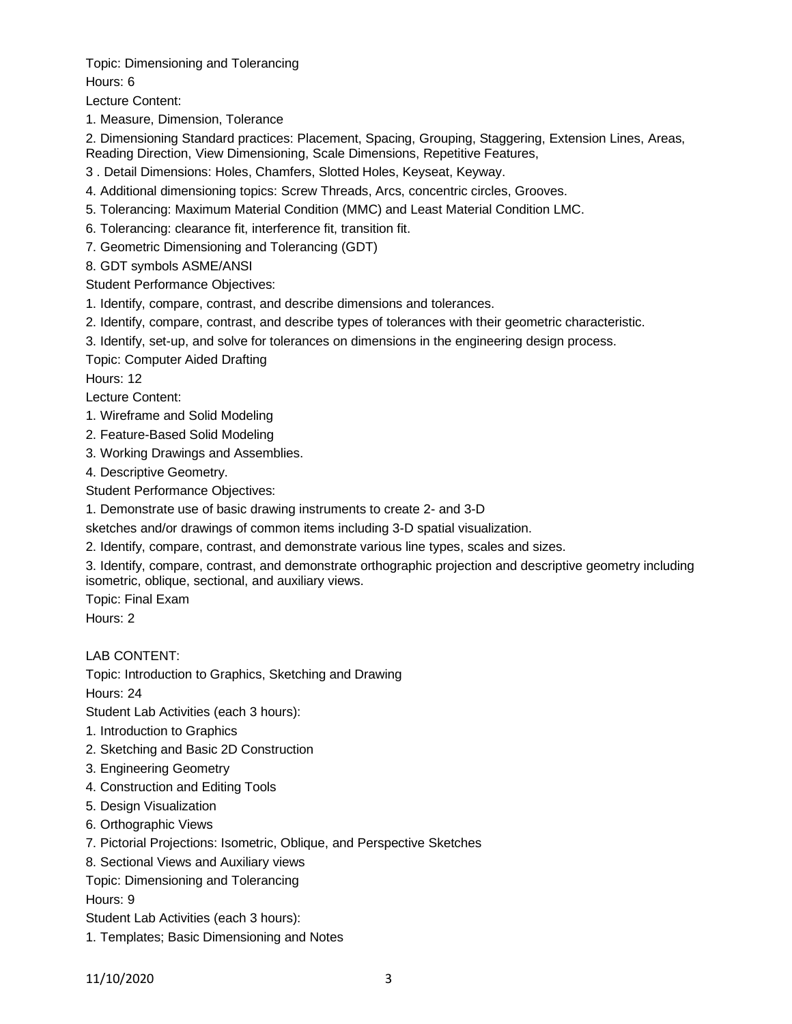Topic: Dimensioning and Tolerancing

Hours: 6

Lecture Content:

1. Measure, Dimension, Tolerance

2. Dimensioning Standard practices: Placement, Spacing, Grouping, Staggering, Extension Lines, Areas, Reading Direction, View Dimensioning, Scale Dimensions, Repetitive Features,

- 3 . Detail Dimensions: Holes, Chamfers, Slotted Holes, Keyseat, Keyway.
- 4. Additional dimensioning topics: Screw Threads, Arcs, concentric circles, Grooves.
- 5. Tolerancing: Maximum Material Condition (MMC) and Least Material Condition LMC.
- 6. Tolerancing: clearance fit, interference fit, transition fit.
- 7. Geometric Dimensioning and Tolerancing (GDT)
- 8. GDT symbols ASME/ANSI

Student Performance Objectives:

- 1. Identify, compare, contrast, and describe dimensions and tolerances.
- 2. Identify, compare, contrast, and describe types of tolerances with their geometric characteristic.
- 3. Identify, set-up, and solve for tolerances on dimensions in the engineering design process.

Topic: Computer Aided Drafting

Hours: 12

Lecture Content:

- 1. Wireframe and Solid Modeling
- 2. Feature-Based Solid Modeling
- 3. Working Drawings and Assemblies.
- 4. Descriptive Geometry.

Student Performance Objectives:

- 1. Demonstrate use of basic drawing instruments to create 2- and 3-D
- sketches and/or drawings of common items including 3-D spatial visualization.
- 2. Identify, compare, contrast, and demonstrate various line types, scales and sizes.
- 3. Identify, compare, contrast, and demonstrate orthographic projection and descriptive geometry including isometric, oblique, sectional, and auxiliary views.

Topic: Final Exam

Hours: 2

# LAB CONTENT:

Topic: Introduction to Graphics, Sketching and Drawing

Hours: 24

Student Lab Activities (each 3 hours):

- 1. Introduction to Graphics
- 2. Sketching and Basic 2D Construction
- 3. Engineering Geometry
- 4. Construction and Editing Tools
- 5. Design Visualization
- 6. Orthographic Views
- 7. Pictorial Projections: Isometric, Oblique, and Perspective Sketches
- 8. Sectional Views and Auxiliary views

Topic: Dimensioning and Tolerancing

Hours: 9

- Student Lab Activities (each 3 hours):
- 1. Templates; Basic Dimensioning and Notes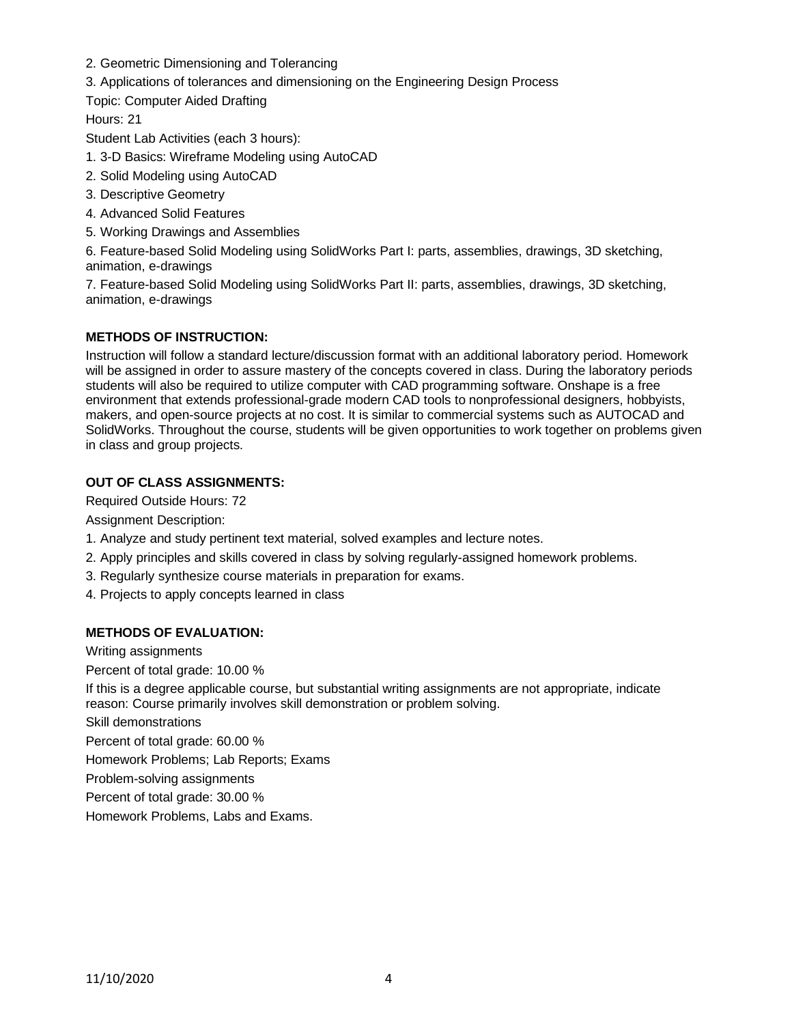- 2. Geometric Dimensioning and Tolerancing
- 3. Applications of tolerances and dimensioning on the Engineering Design Process

Topic: Computer Aided Drafting

Hours: 21

Student Lab Activities (each 3 hours):

- 1. 3-D Basics: Wireframe Modeling using AutoCAD
- 2. Solid Modeling using AutoCAD
- 3. Descriptive Geometry
- 4. Advanced Solid Features
- 5. Working Drawings and Assemblies

6. Feature-based Solid Modeling using SolidWorks Part I: parts, assemblies, drawings, 3D sketching, animation, e-drawings

7. Feature-based Solid Modeling using SolidWorks Part II: parts, assemblies, drawings, 3D sketching, animation, e-drawings

## **METHODS OF INSTRUCTION:**

Instruction will follow a standard lecture/discussion format with an additional laboratory period. Homework will be assigned in order to assure mastery of the concepts covered in class. During the laboratory periods students will also be required to utilize computer with CAD programming software. Onshape is a free environment that extends professional-grade modern CAD tools to nonprofessional designers, hobbyists, makers, and open-source projects at no cost. It is similar to commercial systems such as AUTOCAD and SolidWorks. Throughout the course, students will be given opportunities to work together on problems given in class and group projects.

### **OUT OF CLASS ASSIGNMENTS:**

Required Outside Hours: 72

Assignment Description:

- 1. Analyze and study pertinent text material, solved examples and lecture notes.
- 2. Apply principles and skills covered in class by solving regularly-assigned homework problems.
- 3. Regularly synthesize course materials in preparation for exams.
- 4. Projects to apply concepts learned in class

### **METHODS OF EVALUATION:**

Writing assignments

Percent of total grade: 10.00 %

If this is a degree applicable course, but substantial writing assignments are not appropriate, indicate reason: Course primarily involves skill demonstration or problem solving.

Skill demonstrations

Percent of total grade: 60.00 %

Homework Problems; Lab Reports; Exams

Problem-solving assignments

Percent of total grade: 30.00 %

Homework Problems, Labs and Exams.